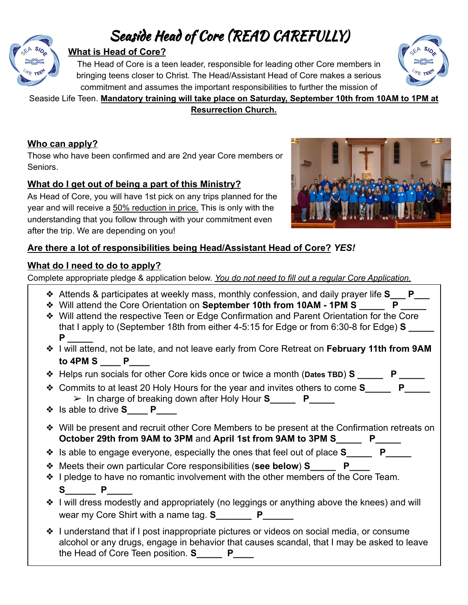# Seaside Head of Core (READ CAREFULLY)



#### **What is Head of Core?**

The Head of Core is a teen leader, responsible for leading other Core members in bringing teens closer to Christ. The Head/Assistant Head of Core makes a serious commitment and assumes the important responsibilities to further the mission of



#### Seaside Life Teen. **Mandatory training will take place on Saturday, September 10th from 10AM to 1PM at Resurrection Church.**

#### **Who can apply?**

Those who have been confirmed and are 2nd year Core members or Seniors.

#### **What do I get out of being a part of this Ministry?**

As Head of Core, you will have 1st pick on any trips planned for the year and will receive a 50% reduction in price. This is only with the understanding that you follow through with your commitment even after the trip. We are depending on you!



#### **Are there a lot of responsibilities being Head/Assistant Head of Core?** *YES!*

#### **What do I need to do to apply?**

Complete appropriate pledge & application below. *You do not need to fill out a regular Core Application.*

- ❖ Attends & participates at weekly mass, monthly confession, and daily prayer life **S\_\_\_ P\_\_\_**
- ❖ Will attend the Core Orientation on **September 10th from 10AM 1PM S \_\_\_\_\_ P \_\_\_\_\_**
- ❖ Will attend the respective Teen or Edge Confirmation and Parent Orientation for the Core that I apply to (September 18th from either 4-5:15 for Edge or from 6:30-8 for Edge) **S P \_\_\_\_\_**
- ❖ I will attend, not be late, and not leave early from Core Retreat on **February 11th from 9AM to 4PM S \_\_\_\_ P\_\_\_\_**
- ❖ Helps run socials for other Core kids once or twice a month (**Dates TBD**) **S \_\_\_\_\_ P \_\_\_\_\_**
- **❖** Commits to at least 20 Holy Hours for the year and invites others to come S P ➢ In charge of breaking down after Holy Hour **S\_\_\_\_\_ P\_\_\_\_\_**
- ❖ Is able to drive **S\_\_\_\_ P\_\_\_\_**
- ❖ Will be present and recruit other Core Members to be present at the Confirmation retreats on **October 29th from 9AM to 3PM** and **April 1st from 9AM to 3PM S\_\_\_\_\_ P\_\_\_\_\_**
- ❖ Is able to engage everyone, especially the ones that feel out of place **S\_\_\_\_\_ P\_\_\_\_\_**
- ❖ Meets their own particular Core responsibilities (**see below**) **S\_\_\_\_\_ P\_\_\_\_**
- ❖ I pledge to have no romantic involvement with the other members of the Core Team. **S\_\_\_\_\_\_ P\_\_\_\_\_**
- ❖ I will dress modestly and appropriately (no leggings or anything above the knees) and will wear my Core Shirt with a name tag. **S**
- ❖ I understand that if I post inappropriate pictures or videos on social media, or consume alcohol or any drugs, engage in behavior that causes scandal, that I may be asked to leave the Head of Core Teen position. **S\_\_\_\_\_ P\_\_\_\_**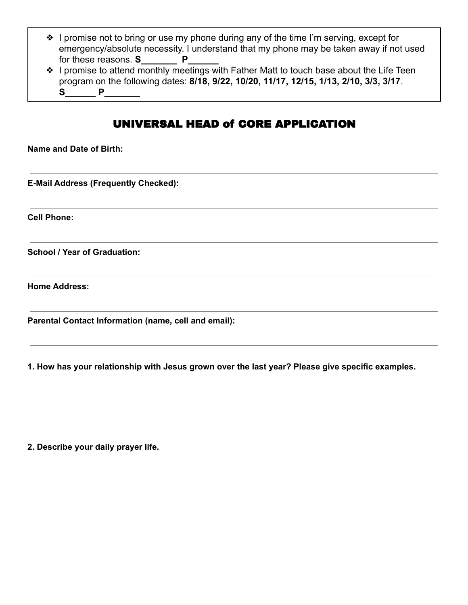- ❖ I promise not to bring or use my phone during any of the time I'm serving, except for emergency/absolute necessity. I understand that my phone may be taken away if not used for these reasons. **S** P
- ❖ I promise to attend monthly meetings with Father Matt to touch base about the Life Teen program on the following dates: **8/18, 9/22, 10/20, 11/17, 12/15, 1/13, 2/10, 3/3, 3/17**. **S\_\_\_\_\_\_ P\_\_\_\_\_\_\_**

## UNIVERSAL HEAD of CORE APPLICATION

**Name and Date of Birth:**

**E-Mail Address (Frequently Checked):**

**Cell Phone:**

**School / Year of Graduation:**

**Home Address:**

**Parental Contact Information (name, cell and email):**

**1. How has your relationship with Jesus grown over the last year? Please give specific examples.**

**2. Describe your daily prayer life.**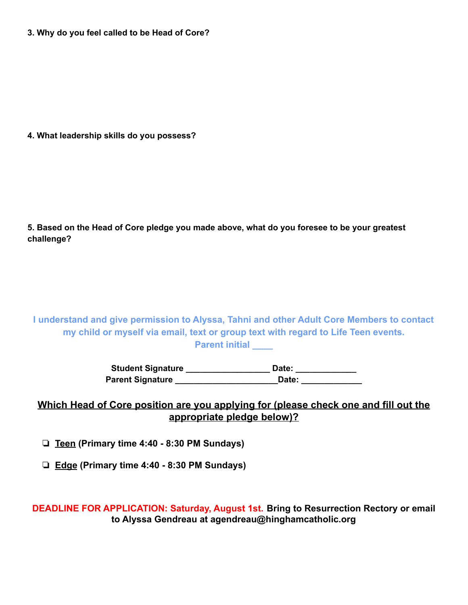**3. Why do you feel called to be Head of Core?**

**4. What leadership skills do you possess?**

**5. Based on the Head of Core pledge you made above, what do you foresee to be your greatest challenge?**

**I understand and give permission to Alyssa, Tahni and other Adult Core Members to contact my child or myself via email, text or group text with regard to Life Teen events. Parent initial \_\_\_\_**

> **Student Signature \_\_\_\_\_\_\_\_\_\_\_\_\_\_\_\_\_\_ Date: \_\_\_\_\_\_\_\_\_\_\_\_\_ Parent Signature \_\_\_\_\_\_\_\_\_\_\_\_\_\_\_\_\_\_\_\_\_\_Date: \_\_\_\_\_\_\_\_\_\_\_\_\_**

#### **Which Head of Core position are you applying for (please check one and fill out the appropriate pledge below)?**

❏ **Teen (Primary time 4:40 - 8:30 PM Sundays)**

❏ **Edge (Primary time 4:40 - 8:30 PM Sundays)**

**DEADLINE FOR APPLICATION: Saturday, August 1st. Bring to Resurrection Rectory or email to Alyssa Gendreau at agendreau@hinghamcatholic.org**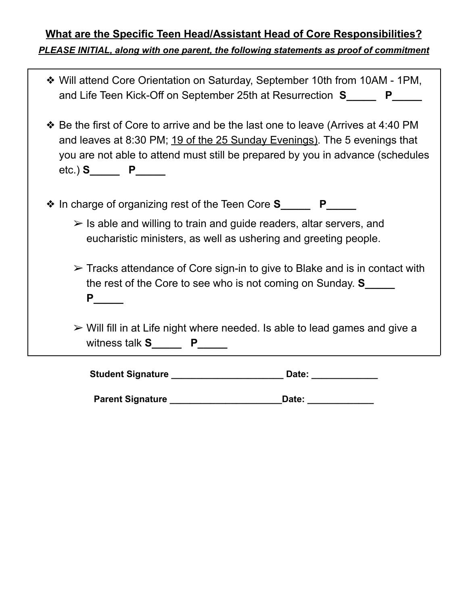# **What are the Specific Teen Head/Assistant Head of Core Responsibilities?** *PLEASE INITIAL, along with one parent, the following statements as proof of commitment*

| ❖ Will attend Core Orientation on Saturday, September 10th from 10AM - 1PM,<br>and Life Teen Kick-Off on September 25th at Resurrection S______ P_____                                                                                                                                 |
|----------------------------------------------------------------------------------------------------------------------------------------------------------------------------------------------------------------------------------------------------------------------------------------|
| * Be the first of Core to arrive and be the last one to leave (Arrives at 4:40 PM<br>and leaves at 8:30 PM; 19 of the 25 Sunday Evenings). The 5 evenings that<br>you are not able to attend must still be prepared by you in advance (schedules<br>$etc.)$ S <sub>______</sub> P_____ |
| ❖ In charge of organizing rest of the Teen Core S_______ P_____                                                                                                                                                                                                                        |
| $\triangleright$ Is able and willing to train and guide readers, altar servers, and<br>eucharistic ministers, as well as ushering and greeting people.                                                                                                                                 |
| $\triangleright$ Tracks attendance of Core sign-in to give to Blake and is in contact with<br>the rest of the Core to see who is not coming on Sunday. S_____<br>$P$ <sub>________</sub>                                                                                               |
| $\triangleright$ Will fill in at Life night where needed. Is able to lead games and give a<br>witness talk $S_{\_}$ $P_{\_}$                                                                                                                                                           |
| Student Signature ________________________<br>Date: _________                                                                                                                                                                                                                          |

| <b>Parent Signature</b><br>Date: |  |
|----------------------------------|--|
|----------------------------------|--|